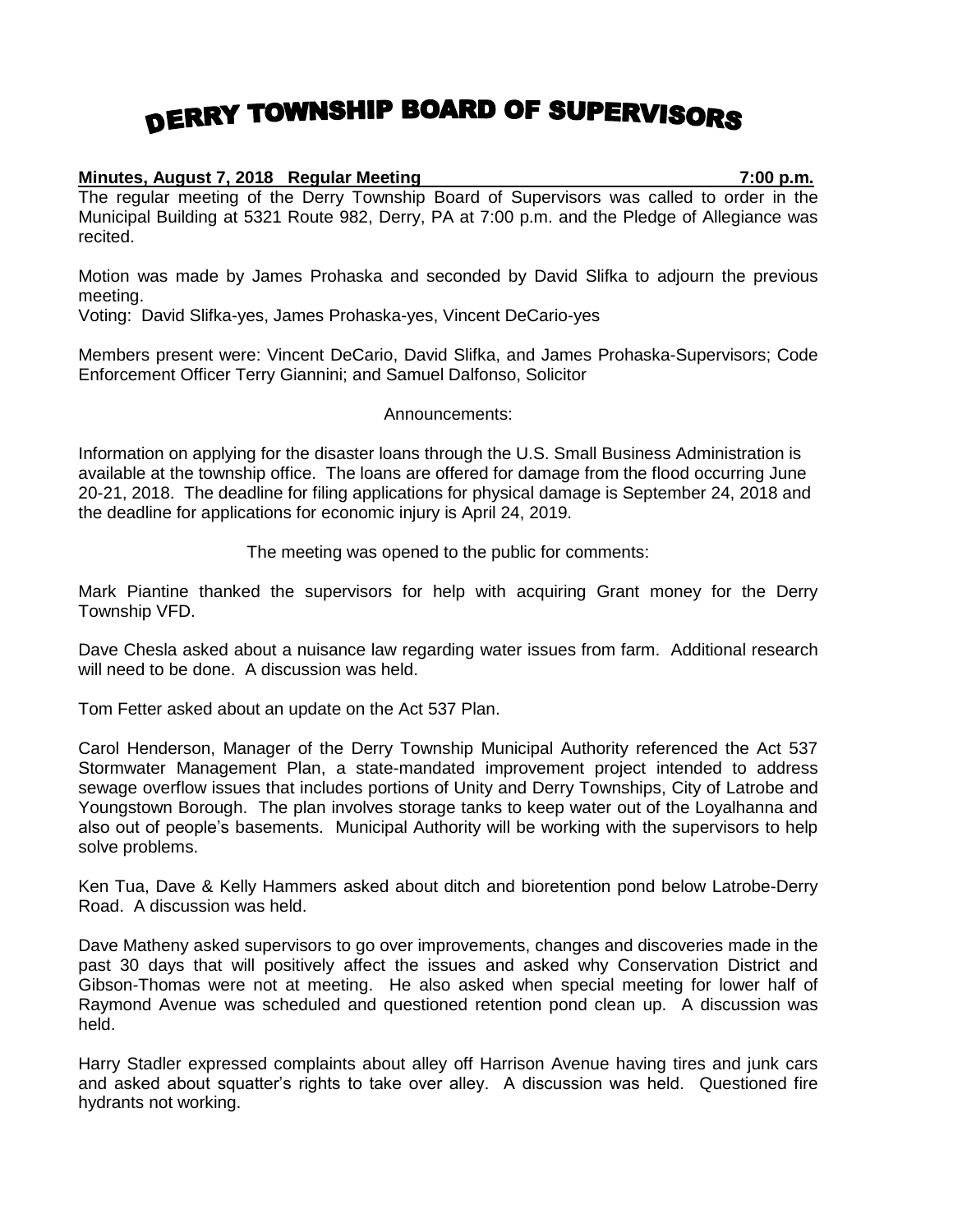## DERRY TOWNSHIP BOARD OF SUPERVISORS

## **Minutes, August 7, 2018 Regular Meeting 7:00 p.m.**

The regular meeting of the Derry Township Board of Supervisors was called to order in the Municipal Building at 5321 Route 982, Derry, PA at 7:00 p.m. and the Pledge of Allegiance was recited.

Motion was made by James Prohaska and seconded by David Slifka to adjourn the previous meeting.

Voting: David Slifka-yes, James Prohaska-yes, Vincent DeCario-yes

Members present were: Vincent DeCario, David Slifka, and James Prohaska-Supervisors; Code Enforcement Officer Terry Giannini; and Samuel Dalfonso, Solicitor

## Announcements:

Information on applying for the disaster loans through the U.S. Small Business Administration is available at the township office. The loans are offered for damage from the flood occurring June 20-21, 2018. The deadline for filing applications for physical damage is September 24, 2018 and the deadline for applications for economic injury is April 24, 2019.

The meeting was opened to the public for comments:

Mark Piantine thanked the supervisors for help with acquiring Grant money for the Derry Township VFD.

Dave Chesla asked about a nuisance law regarding water issues from farm. Additional research will need to be done. A discussion was held.

Tom Fetter asked about an update on the Act 537 Plan.

Carol Henderson, Manager of the Derry Township Municipal Authority referenced the Act 537 Stormwater Management Plan, a state-mandated improvement project intended to address sewage overflow issues that includes portions of Unity and Derry Townships, City of Latrobe and Youngstown Borough. The plan involves storage tanks to keep water out of the Loyalhanna and also out of people's basements. Municipal Authority will be working with the supervisors to help solve problems.

Ken Tua, Dave & Kelly Hammers asked about ditch and bioretention pond below Latrobe-Derry Road. A discussion was held.

Dave Matheny asked supervisors to go over improvements, changes and discoveries made in the past 30 days that will positively affect the issues and asked why Conservation District and Gibson-Thomas were not at meeting. He also asked when special meeting for lower half of Raymond Avenue was scheduled and questioned retention pond clean up. A discussion was held.

Harry Stadler expressed complaints about alley off Harrison Avenue having tires and junk cars and asked about squatter's rights to take over alley. A discussion was held. Questioned fire hydrants not working.